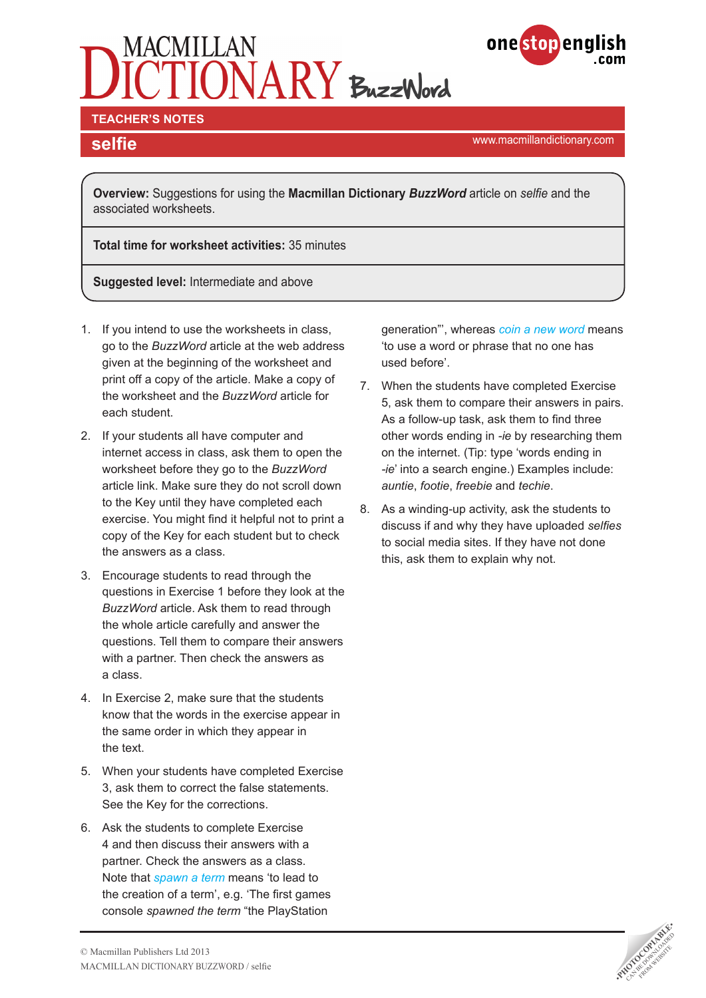# TIONARY BuzzWord



#### **TEACHER'S NOTES**

**selfie selfie selfie selfie selfie selfie selfie selfie selfie selfie selfie selfie selfie selfie selfie selfie selfie selfie selfield selfield selfield selfield selfield self** 

**Overview:** Suggestions for using the **Macmillan Dictionary** *BuzzWord* article on *selfie* and the associated worksheets.

**Total time for worksheet activities:** 35 minutes

**Suggested level:** Intermediate and above

- 1. If you intend to use the worksheets in class, go to the *BuzzWord* article at the web address given at the beginning of the worksheet and print off a copy of the article. Make a copy of the worksheet and the *BuzzWord* article for each student.
- 2. If your students all have computer and internet access in class, ask them to open the worksheet before they go to the *BuzzWord* article link. Make sure they do not scroll down to the Key until they have completed each exercise. You might find it helpful not to print a copy of the Key for each student but to check the answers as a class.
- 3. Encourage students to read through the questions in Exercise 1 before they look at the *BuzzWord* article. Ask them to read through the whole article carefully and answer the questions. Tell them to compare their answers with a partner. Then check the answers as a class.
- 4. In Exercise 2, make sure that the students know that the words in the exercise appear in the same order in which they appear in the text.
- 5. When your students have completed Exercise 3, ask them to correct the false statements. See the Key for the corrections.
- 6. Ask the students to complete Exercise 4 and then discuss their answers with a partner. Check the answers as a class. Note that *[spawn a term](http://www.macmillandictionary.com/dictionary/british/spawn_4)* means 'to lead to the creation of a term', e.g. 'The first games console *spawned the term* "the PlayStation

generation"', whereas *[coin a new word](http://www.macmillandictionary.com/dictionary/british/coin_6)* means 'to use a word or phrase that no one has used before'.

- 7. When the students have completed Exercise 5, ask them to compare their answers in pairs. As a follow-up task, ask them to find three other words ending in *-ie* by researching them on the internet. (Tip: type 'words ending in *-ie*' into a search engine.) Examples include: *auntie*, *footie*, *freebie* and *techie*.
- 8. As a winding-up activity, ask the students to discuss if and why they have uploaded *selfies* to social media sites. If they have not done this, ask them to explain why not.

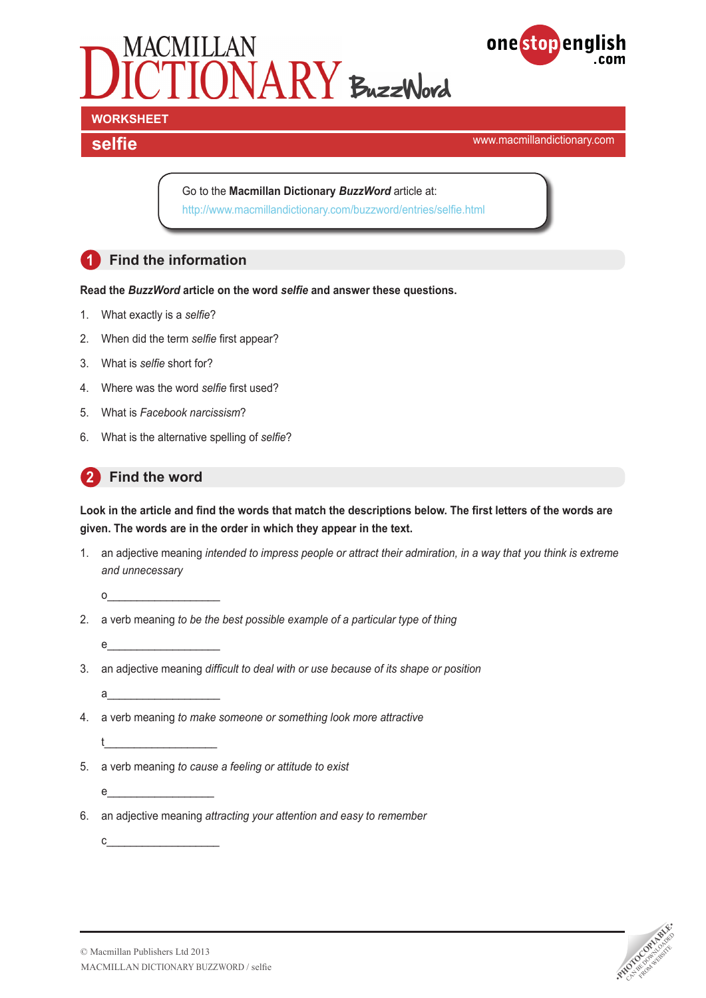



# **WORKSHEET**

**selfie selfie selfie selfie selfie selfie selfie selfield selfield selfield selfield selfield selfield selfield selfield selfield selfield selfield selfield selfield selfield self** 

Go to the **Macmillan Dictionary** *BuzzWord* article at: <http://www.macmillandictionary.com/buzzword/entries/selfie.html>

## **1 Find the information**

**Read the** *BuzzWord* **article on the word** *selfie* **and answer these questions.**

- 1. What exactly is a *selfie*?
- 2. When did the term *selfie* first appear?
- 3. What is *selfie* short for?
- 4. Where was the word *selfie* first used?
- 5. What is *Facebook narcissism*?
- 6. What is the alternative spelling of *selfie*?

### **2 Find the word**

**Look in the article and find the words that match the descriptions below. The first letters of the words are given. The words are in the order in which they appear in the text.** 

1. an adjective meaning *intended to impress people or attract their admiration, in a way that you think is extreme and unnecessary*

o\_\_\_\_\_\_\_\_\_\_\_\_\_\_\_\_\_\_\_

 $e_{\perp}$ 

- 2. a verb meaning *to be the best possible example of a particular type of thing*
	- e\_\_\_\_\_\_\_\_\_\_\_\_\_\_\_\_\_\_\_
- 3. an adjective meaning *difficult to deal with or use because of its shape or position*
	- $a$

t\_\_\_\_\_\_\_\_\_\_\_\_\_\_\_\_\_\_\_

c\_\_\_\_\_\_\_\_\_\_\_\_\_\_\_\_\_\_\_

- 4. a verb meaning *to make someone or something look more attractive*
- 5. a verb meaning *to cause a feeling or attitude to exist*
- 6. an adjective meaning *attracting your attention and easy to remember*

**PHOTOCOPIABLE**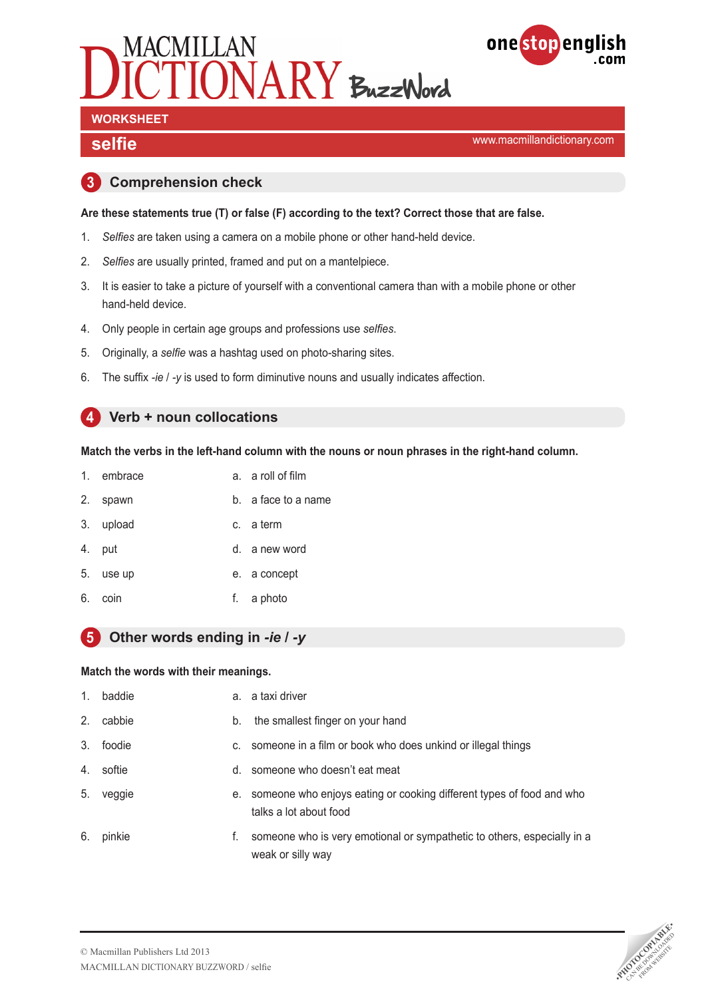



## **WORKSHEET**

**selfie selfie selfie selfie selfie selfie selfie selfield selfield selfield selfield selfield selfield selfield selfield selfield selfield selfield selfield selfield selfield self** 

#### **3 Comprehension check**

#### **Are these statements true (T) or false (F) according to the text? Correct those that are false.**

- 1. *Selfies* are taken using a camera on a mobile phone or other hand-held device.
- 2. *Selfies* are usually printed, framed and put on a mantelpiece.
- 3. It is easier to take a picture of yourself with a conventional camera than with a mobile phone or other hand-held device.
- 4. Only people in certain age groups and professions use *selfies*.
- 5. Originally, a *selfie* was a hashtag used on photo-sharing sites.
- 6. The suffix *-ie* / *-y* is used to form diminutive nouns and usually indicates affection.

#### **4 Verb + noun collocations**

#### **Match the verbs in the left-hand column with the nouns or noun phrases in the right-hand column.**

| 1. | embrace |  | a. a roll of film |
|----|---------|--|-------------------|
|----|---------|--|-------------------|

- 2. spawn b. a face to a name
- 3. upload c. a term
- 4. put d. a new word
- 5. use up e. a concept
- 6. coin f. a photo

#### **5 Other words ending in** *-ie* **/** *-y*

#### **Match the words with their meanings.**

| 1.             | baddie    |    | a. a taxi driver                                                                               |
|----------------|-----------|----|------------------------------------------------------------------------------------------------|
| 2 <sup>1</sup> | cabbie    | b. | the smallest finger on your hand                                                               |
|                | 3. foodie | C. | someone in a film or book who does unkind or illegal things                                    |
| 4.             | softie    | d. | someone who doesn't eat meat                                                                   |
| 5.             | veggie    | е. | someone who enjoys eating or cooking different types of food and who<br>talks a lot about food |
| 6.             | pinkie    | f. | someone who is very emotional or sympathetic to others, especially in a<br>weak or silly way   |